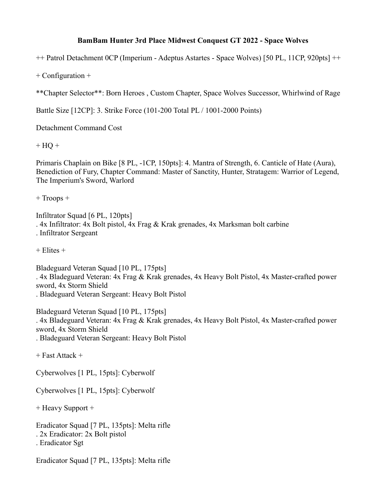## **BamBam Hunter 3rd Place Midwest Conquest GT 2022 - Space Wolves**

++ Patrol Detachment 0CP (Imperium - Adeptus Astartes - Space Wolves) [50 PL, 11CP, 920pts] ++

+ Configuration +

\*\*Chapter Selector\*\*: Born Heroes , Custom Chapter, Space Wolves Successor, Whirlwind of Rage

Battle Size [12CP]: 3. Strike Force (101-200 Total PL / 1001-2000 Points)

Detachment Command Cost

 $+ HO +$ 

Primaris Chaplain on Bike [8 PL, -1CP, 150pts]: 4. Mantra of Strength, 6. Canticle of Hate (Aura), Benediction of Fury, Chapter Command: Master of Sanctity, Hunter, Stratagem: Warrior of Legend, The Imperium's Sword, Warlord

+ Troops +

Infiltrator Squad [6 PL, 120pts] . 4x Infiltrator: 4x Bolt pistol, 4x Frag & Krak grenades, 4x Marksman bolt carbine . Infiltrator Sergeant

 $+$  Elites  $+$ 

Bladeguard Veteran Squad [10 PL, 175pts] . 4x Bladeguard Veteran: 4x Frag & Krak grenades, 4x Heavy Bolt Pistol, 4x Master-crafted power sword, 4x Storm Shield . Bladeguard Veteran Sergeant: Heavy Bolt Pistol

Bladeguard Veteran Squad [10 PL, 175pts] . 4x Bladeguard Veteran: 4x Frag & Krak grenades, 4x Heavy Bolt Pistol, 4x Master-crafted power sword, 4x Storm Shield . Bladeguard Veteran Sergeant: Heavy Bolt Pistol

+ Fast Attack +

Cyberwolves [1 PL, 15pts]: Cyberwolf

Cyberwolves [1 PL, 15pts]: Cyberwolf

+ Heavy Support +

Eradicator Squad [7 PL, 135pts]: Melta rifle . 2x Eradicator: 2x Bolt pistol . Eradicator Sgt

Eradicator Squad [7 PL, 135pts]: Melta rifle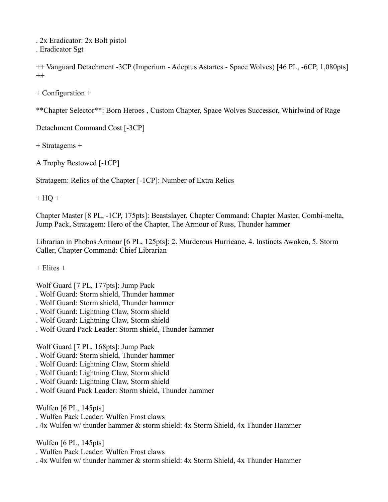. 2x Eradicator: 2x Bolt pistol . Eradicator Sgt

++ Vanguard Detachment -3CP (Imperium - Adeptus Astartes - Space Wolves) [46 PL, -6CP, 1,080pts]  $++$ 

+ Configuration +

\*\*Chapter Selector\*\*: Born Heroes , Custom Chapter, Space Wolves Successor, Whirlwind of Rage

Detachment Command Cost [-3CP]

+ Stratagems +

A Trophy Bestowed [-1CP]

Stratagem: Relics of the Chapter [-1CP]: Number of Extra Relics

 $+ HQ +$ 

Chapter Master [8 PL, -1CP, 175pts]: Beastslayer, Chapter Command: Chapter Master, Combi-melta, Jump Pack, Stratagem: Hero of the Chapter, The Armour of Russ, Thunder hammer

Librarian in Phobos Armour [6 PL, 125pts]: 2. Murderous Hurricane, 4. Instincts Awoken, 5. Storm Caller, Chapter Command: Chief Librarian

 $+$  Elites  $+$ 

Wolf Guard [7 PL, 177pts]: Jump Pack

- . Wolf Guard: Storm shield, Thunder hammer
- . Wolf Guard: Storm shield, Thunder hammer
- . Wolf Guard: Lightning Claw, Storm shield
- . Wolf Guard: Lightning Claw, Storm shield
- . Wolf Guard Pack Leader: Storm shield, Thunder hammer

Wolf Guard [7 PL, 168pts]: Jump Pack

- . Wolf Guard: Storm shield, Thunder hammer
- . Wolf Guard: Lightning Claw, Storm shield
- . Wolf Guard: Lightning Claw, Storm shield
- . Wolf Guard: Lightning Claw, Storm shield
- . Wolf Guard Pack Leader: Storm shield, Thunder hammer

Wulfen [6 PL, 145pts]

. Wulfen Pack Leader: Wulfen Frost claws

. 4x Wulfen w/ thunder hammer & storm shield: 4x Storm Shield, 4x Thunder Hammer

Wulfen [6 PL, 145pts]

- . Wulfen Pack Leader: Wulfen Frost claws
- . 4x Wulfen w/ thunder hammer & storm shield: 4x Storm Shield, 4x Thunder Hammer